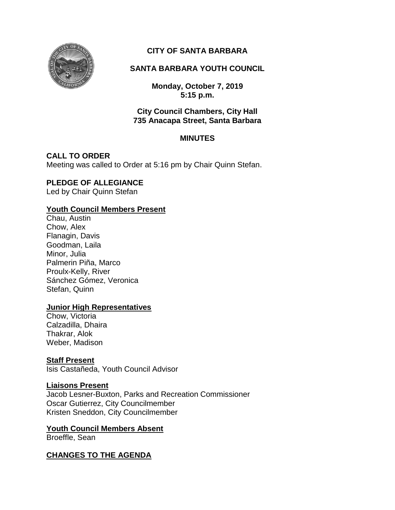

# **CITY OF SANTA BARBARA**

## **SANTA BARBARA YOUTH COUNCIL**

**Monday, October 7, 2019 5:15 p.m.**

### **City Council Chambers, City Hall 735 Anacapa Street, Santa Barbara**

## **MINUTES**

## **CALL TO ORDER**

Meeting was called to Order at 5:16 pm by Chair Quinn Stefan.

## **PLEDGE OF ALLEGIANCE**

Led by Chair Quinn Stefan

## **Youth Council Members Present**

Chau, Austin Chow, Alex Flanagin, Davis Goodman, Laila Minor, Julia Palmerin Piña, Marco Proulx-Kelly, River Sánchez Gómez, Veronica Stefan, Quinn

### **Junior High Representatives**

Chow, Victoria Calzadilla, Dhaira Thakrar, Alok Weber, Madison

### **Staff Present**

Isis Castañeda, Youth Council Advisor

### **Liaisons Present**

Jacob Lesner-Buxton, Parks and Recreation Commissioner Oscar Gutierrez, City Councilmember Kristen Sneddon, City Councilmember

### **Youth Council Members Absent**

Broeffle, Sean

### **CHANGES TO THE AGENDA**